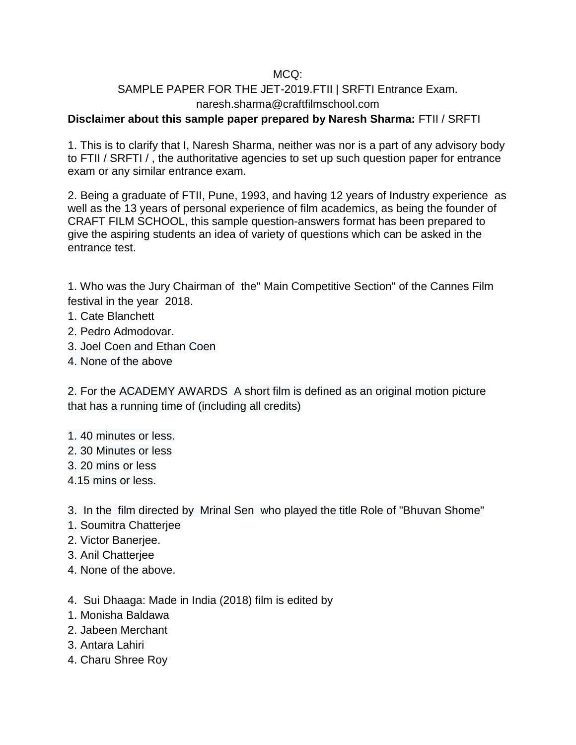## MCQ:

## SAMPLE PAPER FOR THE JET-2019.FTII | SRFTI Entrance Exam. naresh.sharma@craftfilmschool.com

## **Disclaimer about this sample paper prepared by Naresh Sharma:** FTII / SRFTI

1. This is to clarify that I, Naresh Sharma, neither was nor is a part of any advisory body to FTII / SRFTI / , the authoritative agencies to set up such question paper for entrance exam or any similar entrance exam.

2. Being a graduate of FTII, Pune, 1993, and having 12 years of Industry experience as well as the 13 years of personal experience of film academics, as being the founder of CRAFT FILM SCHOOL, this sample question-answers format has been prepared to give the aspiring students an idea of variety of questions which can be asked in the entrance test.

1. Who was the Jury Chairman of the" Main Competitive Section" of the Cannes Film festival in the year 2018.

- 1. Cate Blanchett
- 2. Pedro Admodovar.
- 3. [Joel Coen and Ethan Coen](https://en.wikipedia.org/wiki/Coen_brothers)
- 4. None of the above

2. For the ACADEMY AWARDS A short film is defined as an original motion picture that has a running time of (including all credits)

- 1. 40 minutes or less.
- 2. 30 Minutes or less
- 3. 20 mins or less
- 4.15 mins or less.

3. In the film directed by Mrinal Sen who played the title Role of "Bhuvan Shome"

- 1. Soumitra Chatterjee
- 2. Victor Banerjee.
- 3. Anil Chatterjee
- 4. None of the above.
- 4. Sui Dhaaga: Made in India (2018) film is edited by
- 1. [Monisha Baldawa](http://www.ftiipeople.com/monisha-baldawa-chat-editor/)
- 2. [Jabeen Merchant](http://www.ftiipeople.com/jabeen-merchant-interview/)
- 3. [Antara Lahiri](http://www.ftiipeople.com/in-conversation-with-antara-lahiri/)
- 4. Charu Shree Roy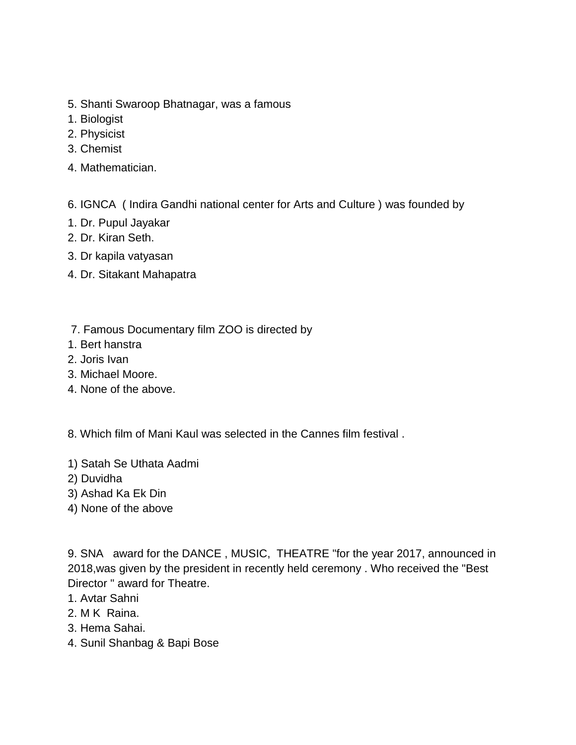- 5. Shanti Swaroop Bhatnagar, was a famous
- 1. Biologist
- 2. Physicist
- 3. Chemist
- 4. Mathematician.
- 6. IGNCA ( Indira Gandhi national center for Arts and Culture ) was founded b[y](https://en.wikipedia.org/wiki/Pupul_Jayakar)
- [1. Dr. Pupul Jayakar](https://en.wikipedia.org/wiki/Pupul_Jayakar)
- 2. Dr. Kiran Seth.
- 3. Dr kapila vatyasan
- 4. Dr. Sitakant Mahapatra
- 7. Famous Documentary film ZOO is directed by
- 1. Bert hanstra
- 2. Joris Ivan
- 3. Michael Moore.
- 4. None of the above.
- 8. Which film of Mani Kaul was selected in the Cannes film festival .
- 1) Satah Se Uthata Aadmi
- 2) Duvidha
- 3) Ashad Ka Ek Din
- 4) None of the above

9. SNA award for the DANCE , MUSIC, THEATRE "for the year 2017, announced in 2018,was given by the president in recently held ceremony . Who received the "Best Director " award for Theatre.

- 1. Avtar Sahni
- 2. M K Raina.
- 3. Hema Sahai.
- 4. Sunil Shanbag & Bapi Bose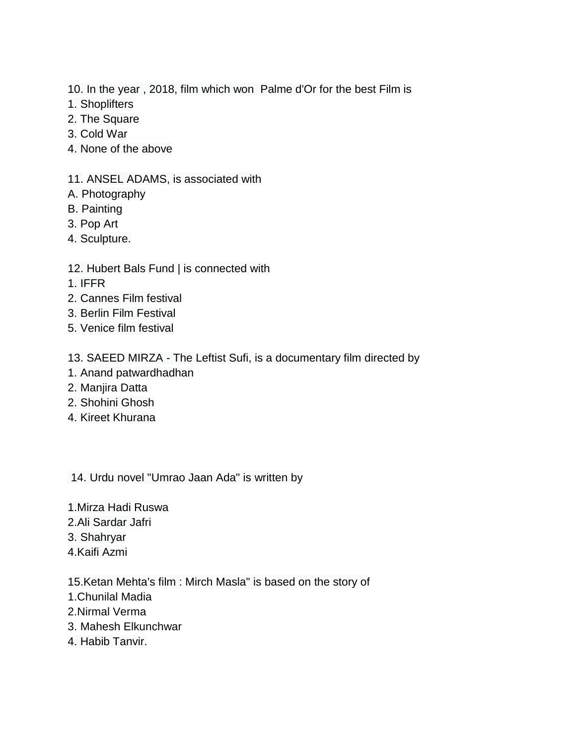- 10. In the year , 2018, film which won Palme d'Or for the best Film is
- 1. Shoplifters
- 2. The Square
- 3. Cold War
- 4. None of the above
- 11. ANSEL ADAMS, is associated with
- A. Photography
- B. Painting
- 3. Pop Art
- 4. Sculpture.
- 12. Hubert Bals Fund | is connected with
- 1. IFFR
- 2. Cannes Film festival
- 3. Berlin Film Festival
- 5. Venice film festival
- 13. SAEED MIRZA The Leftist Sufi, is a documentary film directed by
- 1. Anand patwardhadhan
- 2. Manjira Datta
- 2. Shohini Ghosh
- 4. Kireet Khurana

14. Urdu novel "Umrao Jaan Ada" is written by

- 1.Mirza Hadi Ruswa
- 2.Ali Sardar Jafri
- 3. Shahryar
- 4.Kaifi Azmi
- 15.Ketan Mehta's film : Mirch Masla" is based on the story of
- 1.Chunilal Madia
- 2.Nirmal Verma
- 3. Mahesh Elkunchwar
- 4. Habib Tanvir.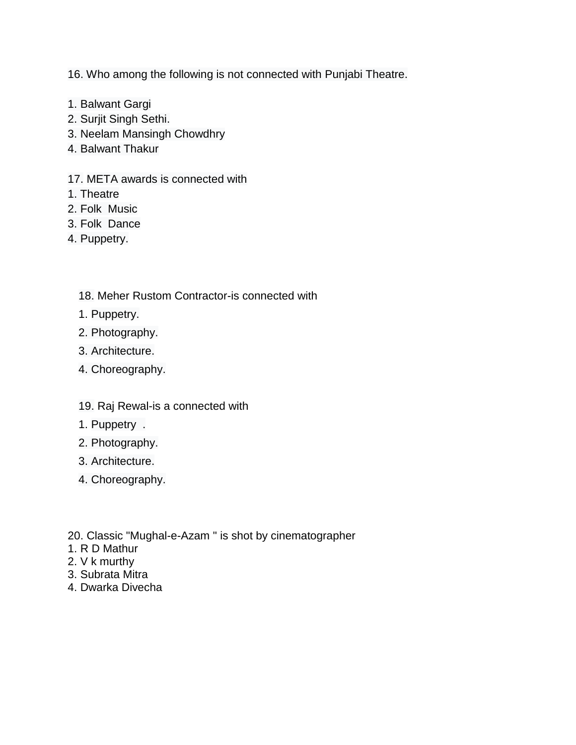16. Who among the following is not connected with Punjabi Theatre.

- 1. Balwant Gargi
- 2. Surjit Singh Sethi.
- 3. Neelam Mansingh Chowdhry
- 4. Balwant Thakur
- 17. META awards is connected with
- 1. Theatre
- 2. Folk Music
- 3. Folk Dance
- 4. Puppetry.
	- 18. Meher Rustom Contractor-is connected with
	- 1. Puppetry.
	- 2. Photography.
	- 3. Architecture.
	- 4. Choreography.
	- 19. Raj Rewal-is a connected with
	- 1. Puppetry .
	- 2. Photography.
	- 3. Architecture.
	- 4. Choreography.
- 20. Classic "Mughal-e-Azam " is shot by cinematographer
- 1. R D Mathur
- 2. V k murthy
- 3. Subrata Mitra
- 4. Dwarka Divecha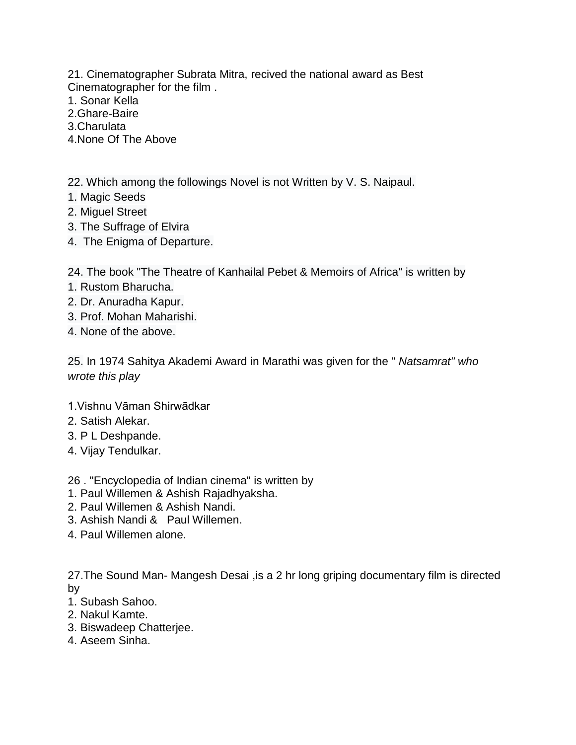21. Cinematographer Subrata Mitra, recived the national award as Best Cinematographer for the film .

- 1. Sonar Kella
- 2.Ghare-Baire
- 3.Charulata
- 4.None Of The Above

22. Which among the followings Novel is not Written by V. S. Naipaul.

- 1. Magic Seeds
- 2. Miguel Street
- 3. The Suffrage of Elvira
- 4. The Enigma of Departure.

24. The book "The Theatre of Kanhailal Pebet & Memoirs of Africa" is written by

- 1. Rustom Bharucha.
- 2. Dr. Anuradha Kapur.
- 3. Prof. Mohan Maharishi.
- 4. None of the above.

25. In 1974 [Sahitya Akademi Award](https://en.wikipedia.org/wiki/Sahitya_Akademi_Award) in Marathi was given for the " *Natsamrat" who wrote this play*

- 1.Vishnu Vāman Shirwādkar
- 2. Satish Alekar.
- 3. P L Deshpande.
- 4. Vijay Tendulkar.
- 26 . "Encyclopedia of Indian cinema" is written by
- 1. Paul Willemen & Ashish Rajadhyaksha.
- 2. Paul Willemen & Ashish Nandi.
- 3. Ashish Nandi & Paul Willemen.
- 4. Paul Willemen alone.

27.The Sound Man- Mangesh Desai ,is a 2 hr long griping documentary film is directed by

- 1. Subash Sahoo.
- 2. Nakul Kamte.
- 3. Biswadeep Chatterjee.
- 4. Aseem Sinha.